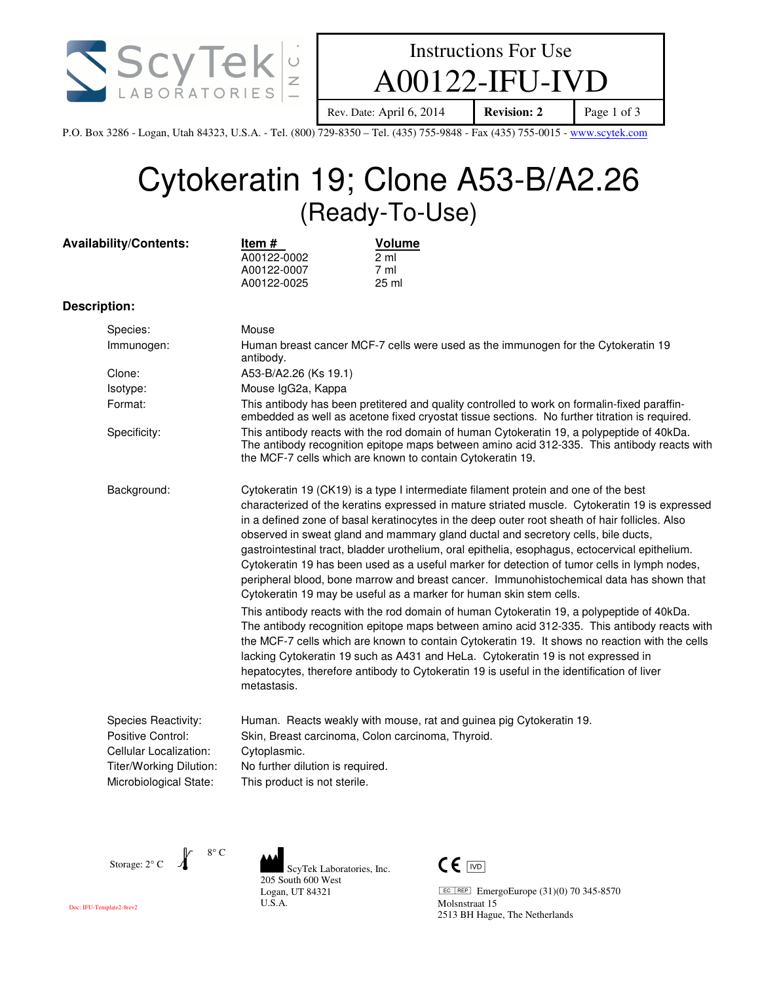



Rev. Date: April 6, 2014 **Revision: 2** Page 1 of 3

P.O. Box 3286 - Logan, Utah 84323, U.S.A. - Tel. (800) 729-8350 – Tel. (435) 755-9848 - Fax (435) 755-0015 - www.scytek.com

# Cytokeratin 19; Clone A53-B/A2.26 (Ready-To-Use)

|              | <b>Availability/Contents:</b>                                                                                           | Item #<br>A00122-0002<br>A00122-0007<br>A00122-0025                                                                                                                                                                                                                                                                                                                                                                                                                                                                                                                                                                                                                                                                                                | Volume<br>$2 \text{ ml}$<br>$7 \text{ ml}$<br>25 ml                                                                                                                                                                                                                                                                                                                                                                                                                          |  |
|--------------|-------------------------------------------------------------------------------------------------------------------------|----------------------------------------------------------------------------------------------------------------------------------------------------------------------------------------------------------------------------------------------------------------------------------------------------------------------------------------------------------------------------------------------------------------------------------------------------------------------------------------------------------------------------------------------------------------------------------------------------------------------------------------------------------------------------------------------------------------------------------------------------|------------------------------------------------------------------------------------------------------------------------------------------------------------------------------------------------------------------------------------------------------------------------------------------------------------------------------------------------------------------------------------------------------------------------------------------------------------------------------|--|
| Description: |                                                                                                                         |                                                                                                                                                                                                                                                                                                                                                                                                                                                                                                                                                                                                                                                                                                                                                    |                                                                                                                                                                                                                                                                                                                                                                                                                                                                              |  |
|              | Species:                                                                                                                | Mouse                                                                                                                                                                                                                                                                                                                                                                                                                                                                                                                                                                                                                                                                                                                                              |                                                                                                                                                                                                                                                                                                                                                                                                                                                                              |  |
|              | Immunogen:                                                                                                              | Human breast cancer MCF-7 cells were used as the immunogen for the Cytokeratin 19<br>antibody.                                                                                                                                                                                                                                                                                                                                                                                                                                                                                                                                                                                                                                                     |                                                                                                                                                                                                                                                                                                                                                                                                                                                                              |  |
|              | Clone:                                                                                                                  | A53-B/A2.26 (Ks 19.1)                                                                                                                                                                                                                                                                                                                                                                                                                                                                                                                                                                                                                                                                                                                              |                                                                                                                                                                                                                                                                                                                                                                                                                                                                              |  |
|              | Isotype:                                                                                                                | Mouse IgG2a, Kappa                                                                                                                                                                                                                                                                                                                                                                                                                                                                                                                                                                                                                                                                                                                                 |                                                                                                                                                                                                                                                                                                                                                                                                                                                                              |  |
|              | Format:                                                                                                                 | This antibody has been pretitered and quality controlled to work on formalin-fixed paraffin-<br>embedded as well as acetone fixed cryostat tissue sections. No further titration is required.                                                                                                                                                                                                                                                                                                                                                                                                                                                                                                                                                      |                                                                                                                                                                                                                                                                                                                                                                                                                                                                              |  |
|              | Specificity:                                                                                                            | This antibody reacts with the rod domain of human Cytokeratin 19, a polypeptide of 40kDa.<br>The antibody recognition epitope maps between amino acid 312-335. This antibody reacts with<br>the MCF-7 cells which are known to contain Cytokeratin 19.                                                                                                                                                                                                                                                                                                                                                                                                                                                                                             |                                                                                                                                                                                                                                                                                                                                                                                                                                                                              |  |
|              | Background:                                                                                                             | Cytokeratin 19 (CK19) is a type I intermediate filament protein and one of the best<br>characterized of the keratins expressed in mature striated muscle. Cytokeratin 19 is expressed<br>in a defined zone of basal keratinocytes in the deep outer root sheath of hair follicles. Also<br>observed in sweat gland and mammary gland ductal and secretory cells, bile ducts,<br>gastrointestinal tract, bladder urothelium, oral epithelia, esophagus, ectocervical epithelium.<br>Cytokeratin 19 has been used as a useful marker for detection of tumor cells in lymph nodes,<br>peripheral blood, bone marrow and breast cancer. Immunohistochemical data has shown that<br>Cytokeratin 19 may be useful as a marker for human skin stem cells. |                                                                                                                                                                                                                                                                                                                                                                                                                                                                              |  |
|              |                                                                                                                         | metastasis.                                                                                                                                                                                                                                                                                                                                                                                                                                                                                                                                                                                                                                                                                                                                        | This antibody reacts with the rod domain of human Cytokeratin 19, a polypeptide of 40kDa.<br>The antibody recognition epitope maps between amino acid 312-335. This antibody reacts with<br>the MCF-7 cells which are known to contain Cytokeratin 19. It shows no reaction with the cells<br>lacking Cytokeratin 19 such as A431 and HeLa. Cytokeratin 19 is not expressed in<br>hepatocytes, therefore antibody to Cytokeratin 19 is useful in the identification of liver |  |
|              | Species Reactivity:<br>Positive Control:<br>Cellular Localization:<br>Titer/Working Dilution:<br>Microbiological State: | Cytoplasmic.<br>No further dilution is required.<br>This product is not sterile.                                                                                                                                                                                                                                                                                                                                                                                                                                                                                                                                                                                                                                                                   | Human. Reacts weakly with mouse, rat and guinea pig Cytokeratin 19.<br>Skin, Breast carcinoma, Colon carcinoma, Thyroid.                                                                                                                                                                                                                                                                                                                                                     |  |

Storage: 2° C

8° C

ScyTek Laboratories, Inc. 205 South 600 West Logan, UT 84321 U.S.A.



 $E C | R \text{E} \text{P}$  EmergoEurope (31)(0) 70 345-8570 Molsnstraat 15 2513 BH Hague, The Netherlands

Doc: IFU-Template2-8rev2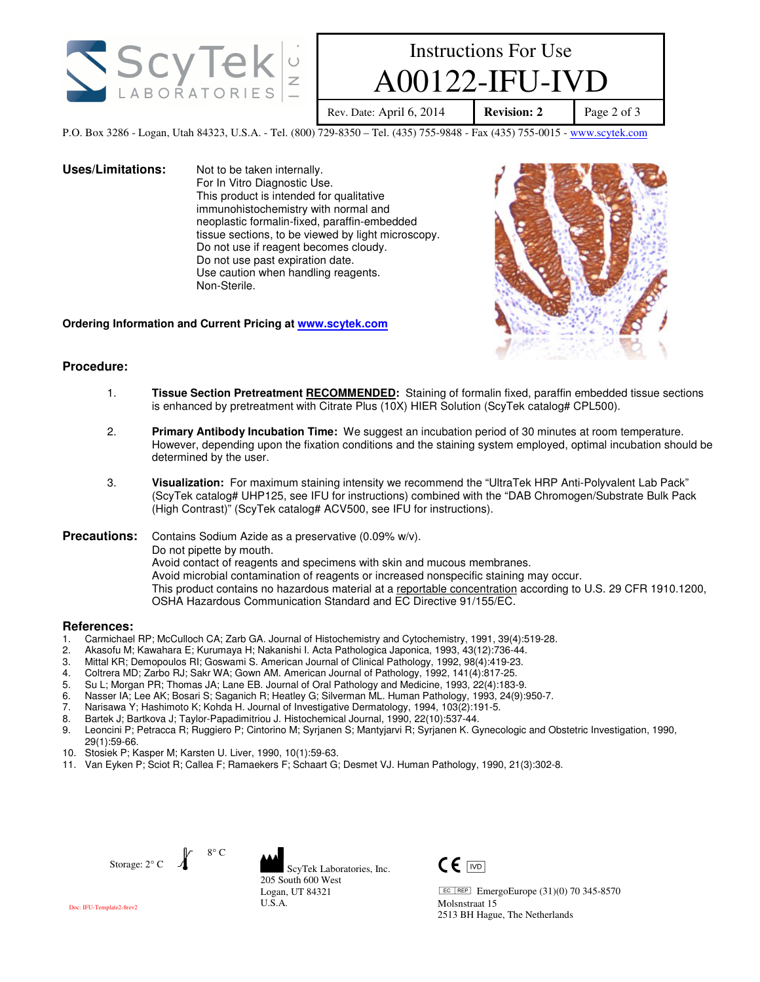

## Instructions For Use  $00122$ -IFU-I

Rev. Date: April 6, 2014 **Revision: 2** Page 2 of 3

P.O. Box 3286 - Logan, Utah 84323, U.S.A. - Tel. (800) 729-8350 – Tel. (435) 755-9848 - Fax (435) 755-0015 - www.scytek.com

**Uses/Limitations:** Not to be taken internally. For In Vitro Diagnostic Use. This product is intended for qualitative immunohistochemistry with normal and neoplastic formalin-fixed, paraffin-embedded tissue sections, to be viewed by light microscopy. Do not use if reagent becomes cloudy. Do not use past expiration date. Use caution when handling reagents. Non-Sterile.



**Ordering Information and Current Pricing at www.scytek.com**

## **Procedure:**

- 1. **Tissue Section Pretreatment RECOMMENDED:** Staining of formalin fixed, paraffin embedded tissue sections is enhanced by pretreatment with Citrate Plus (10X) HIER Solution (ScyTek catalog# CPL500).
- 2. **Primary Antibody Incubation Time:** We suggest an incubation period of 30 minutes at room temperature. However, depending upon the fixation conditions and the staining system employed, optimal incubation should be determined by the user.
- 3. **Visualization:** For maximum staining intensity we recommend the "UltraTek HRP Anti-Polyvalent Lab Pack" (ScyTek catalog# UHP125, see IFU for instructions) combined with the "DAB Chromogen/Substrate Bulk Pack (High Contrast)" (ScyTek catalog# ACV500, see IFU for instructions).

**Precautions:** Contains Sodium Azide as a preservative (0.09% w/v). Do not pipette by mouth. Avoid contact of reagents and specimens with skin and mucous membranes. Avoid microbial contamination of reagents or increased nonspecific staining may occur. This product contains no hazardous material at a reportable concentration according to U.S. 29 CFR 1910.1200, OSHA Hazardous Communication Standard and EC Directive 91/155/EC.

### **References:**

- 1. Carmichael RP; McCulloch CA; Zarb GA. Journal of Histochemistry and Cytochemistry, 1991, 39(4):519-28.
- 2. Akasofu M; Kawahara E; Kurumaya H; Nakanishi I. Acta Pathologica Japonica, 1993, 43(12):736-44.
- 3. Mittal KR; Demopoulos RI; Goswami S. American Journal of Clinical Pathology, 1992, 98(4):419-23.
- 4. Coltrera MD; Zarbo RJ; Sakr WA; Gown AM. American Journal of Pathology, 1992, 141(4):817-25.
- 5. Su L; Morgan PR; Thomas JA; Lane EB. Journal of Oral Pathology and Medicine, 1993, 22(4):183-9.
- 6. Nasser IA; Lee AK; Bosari S; Saganich R; Heatley G; Silverman ML. Human Pathology, 1993, 24(9):950-7.
- 7. Narisawa Y; Hashimoto K; Kohda H. Journal of Investigative Dermatology, 1994, 103(2):191-5.
- 8. Bartek J; Bartkova J; Taylor-Papadimitriou J. Histochemical Journal, 1990, 22(10):537-44.
- 9. Leoncini P; Petracca R; Ruggiero P; Cintorino M; Syrjanen S; Mantyjarvi R; Syrjanen K. Gynecologic and Obstetric Investigation, 1990, 29(1):59-66.
- 10. Stosiek P; Kasper M; Karsten U. Liver, 1990, 10(1):59-63.
- 11. Van Eyken P; Sciot R; Callea F; Ramaekers F; Schaart G; Desmet VJ. Human Pathology, 1990, 21(3):302-8.



ScyTek Laboratories, Inc. 205 South 600 West Logan, UT 84321 U.S.A.



 $E C | R \text{E}P$  EmergoEurope (31)(0) 70 345-8570 Molsnstraat 15 2513 BH Hague, The Netherlands

Doc: IFU-Template2-8rev2